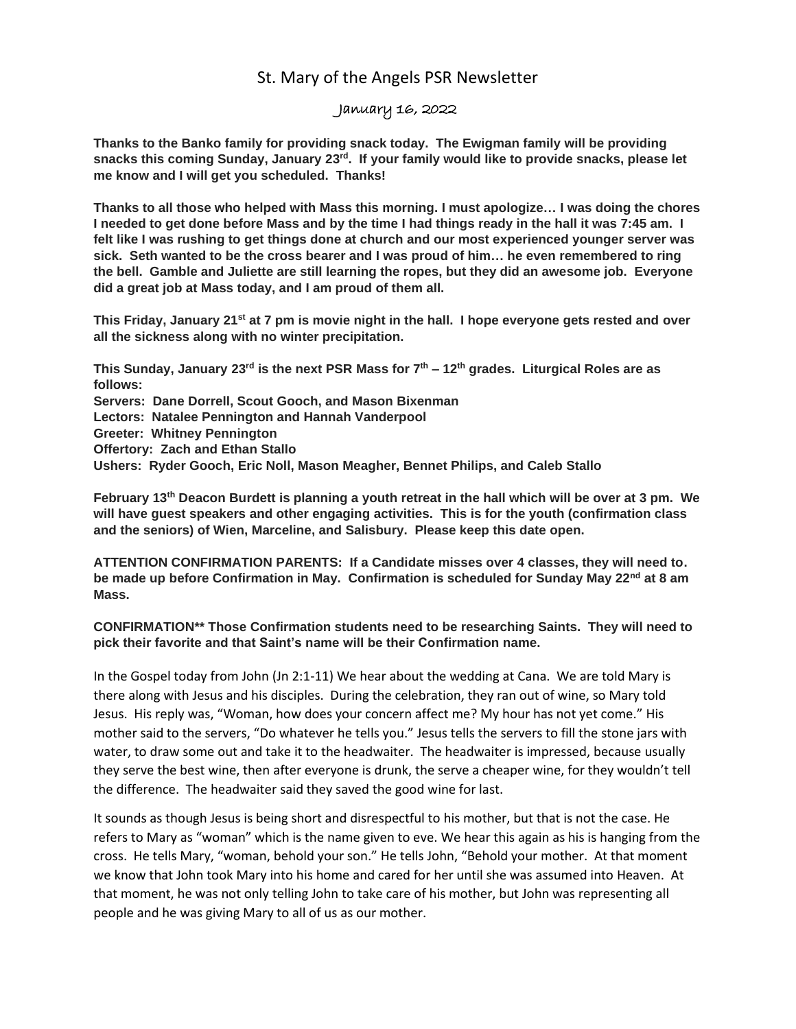## St. Mary of the Angels PSR Newsletter

## January 16, 2022

**Thanks to the Banko family for providing snack today. The Ewigman family will be providing snacks this coming Sunday, January 23rd. If your family would like to provide snacks, please let me know and I will get you scheduled. Thanks!**

**Thanks to all those who helped with Mass this morning. I must apologize… I was doing the chores I needed to get done before Mass and by the time I had things ready in the hall it was 7:45 am. I felt like I was rushing to get things done at church and our most experienced younger server was sick. Seth wanted to be the cross bearer and I was proud of him… he even remembered to ring the bell. Gamble and Juliette are still learning the ropes, but they did an awesome job. Everyone did a great job at Mass today, and I am proud of them all.** 

**This Friday, January 21st at 7 pm is movie night in the hall. I hope everyone gets rested and over all the sickness along with no winter precipitation.** 

**This Sunday, January 23rd is the next PSR Mass for 7th – 12th grades. Liturgical Roles are as follows: Servers: Dane Dorrell, Scout Gooch, and Mason Bixenman Lectors: Natalee Pennington and Hannah Vanderpool Greeter: Whitney Pennington Offertory: Zach and Ethan Stallo Ushers: Ryder Gooch, Eric Noll, Mason Meagher, Bennet Philips, and Caleb Stallo**

**February 13th Deacon Burdett is planning a youth retreat in the hall which will be over at 3 pm. We will have guest speakers and other engaging activities. This is for the youth (confirmation class and the seniors) of Wien, Marceline, and Salisbury. Please keep this date open.**

**ATTENTION CONFIRMATION PARENTS: If a Candidate misses over 4 classes, they will need to. be made up before Confirmation in May. Confirmation is scheduled for Sunday May 22nd at 8 am Mass.** 

**CONFIRMATION\*\* Those Confirmation students need to be researching Saints. They will need to pick their favorite and that Saint's name will be their Confirmation name.**

In the Gospel today from John (Jn 2:1-11) We hear about the wedding at Cana. We are told Mary is there along with Jesus and his disciples. During the celebration, they ran out of wine, so Mary told Jesus. His reply was, "Woman, how does your concern affect me? My hour has not yet come." His mother said to the servers, "Do whatever he tells you." Jesus tells the servers to fill the stone jars with water, to draw some out and take it to the headwaiter. The headwaiter is impressed, because usually they serve the best wine, then after everyone is drunk, the serve a cheaper wine, for they wouldn't tell the difference. The headwaiter said they saved the good wine for last.

It sounds as though Jesus is being short and disrespectful to his mother, but that is not the case. He refers to Mary as "woman" which is the name given to eve. We hear this again as his is hanging from the cross. He tells Mary, "woman, behold your son." He tells John, "Behold your mother. At that moment we know that John took Mary into his home and cared for her until she was assumed into Heaven. At that moment, he was not only telling John to take care of his mother, but John was representing all people and he was giving Mary to all of us as our mother.